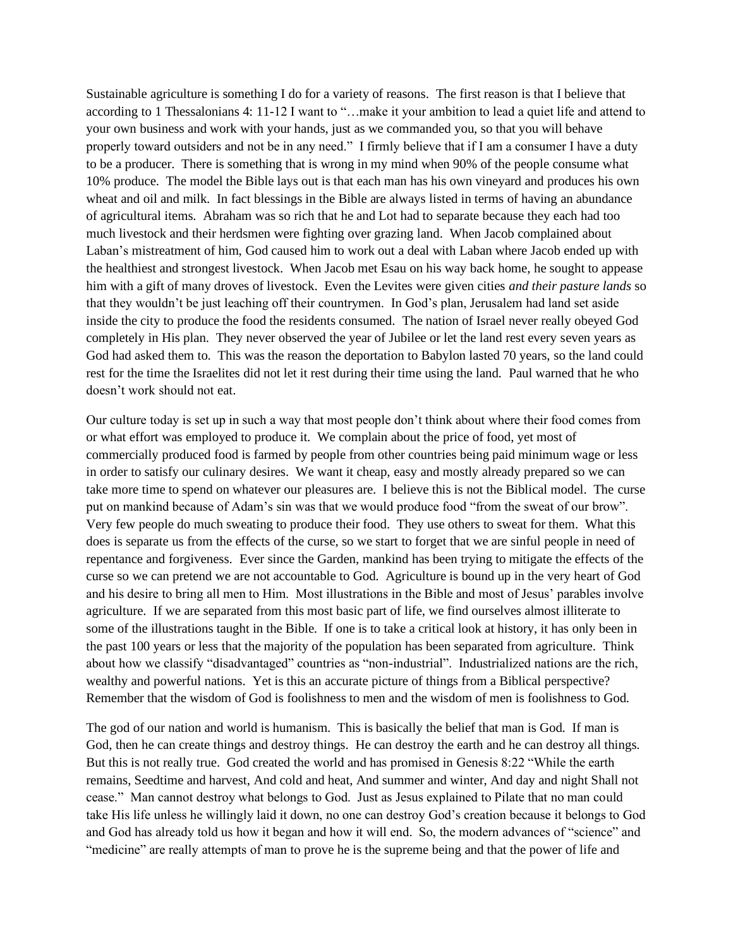Sustainable agriculture is something I do for a variety of reasons. The first reason is that I believe that according to 1 Thessalonians 4: 11-12 I want to "…make it your ambition to lead a quiet life and attend to your own business and work with your hands, just as we commanded you, so that you will behave properly toward outsiders and not be in any need." I firmly believe that if I am a consumer I have a duty to be a producer. There is something that is wrong in my mind when 90% of the people consume what 10% produce. The model the Bible lays out is that each man has his own vineyard and produces his own wheat and oil and milk. In fact blessings in the Bible are always listed in terms of having an abundance of agricultural items. Abraham was so rich that he and Lot had to separate because they each had too much livestock and their herdsmen were fighting over grazing land. When Jacob complained about Laban's mistreatment of him, God caused him to work out a deal with Laban where Jacob ended up with the healthiest and strongest livestock. When Jacob met Esau on his way back home, he sought to appease him with a gift of many droves of livestock. Even the Levites were given cities *and their pasture lands* so that they wouldn't be just leaching off their countrymen. In God's plan, Jerusalem had land set aside inside the city to produce the food the residents consumed. The nation of Israel never really obeyed God completely in His plan. They never observed the year of Jubilee or let the land rest every seven years as God had asked them to. This was the reason the deportation to Babylon lasted 70 years, so the land could rest for the time the Israelites did not let it rest during their time using the land. Paul warned that he who doesn't work should not eat.

Our culture today is set up in such a way that most people don't think about where their food comes from or what effort was employed to produce it. We complain about the price of food, yet most of commercially produced food is farmed by people from other countries being paid minimum wage or less in order to satisfy our culinary desires. We want it cheap, easy and mostly already prepared so we can take more time to spend on whatever our pleasures are. I believe this is not the Biblical model. The curse put on mankind because of Adam's sin was that we would produce food "from the sweat of our brow". Very few people do much sweating to produce their food. They use others to sweat for them. What this does is separate us from the effects of the curse, so we start to forget that we are sinful people in need of repentance and forgiveness. Ever since the Garden, mankind has been trying to mitigate the effects of the curse so we can pretend we are not accountable to God. Agriculture is bound up in the very heart of God and his desire to bring all men to Him. Most illustrations in the Bible and most of Jesus' parables involve agriculture. If we are separated from this most basic part of life, we find ourselves almost illiterate to some of the illustrations taught in the Bible. If one is to take a critical look at history, it has only been in the past 100 years or less that the majority of the population has been separated from agriculture. Think about how we classify "disadvantaged" countries as "non-industrial". Industrialized nations are the rich, wealthy and powerful nations. Yet is this an accurate picture of things from a Biblical perspective? Remember that the wisdom of God is foolishness to men and the wisdom of men is foolishness to God.

The god of our nation and world is humanism. This is basically the belief that man is God. If man is God, then he can create things and destroy things. He can destroy the earth and he can destroy all things. But this is not really true. God created the world and has promised in Genesis 8:22 "While the earth remains, Seedtime and harvest, And cold and heat, And summer and winter, And day and night Shall not cease." Man cannot destroy what belongs to God. Just as Jesus explained to Pilate that no man could take His life unless he willingly laid it down, no one can destroy God's creation because it belongs to God and God has already told us how it began and how it will end. So, the modern advances of "science" and "medicine" are really attempts of man to prove he is the supreme being and that the power of life and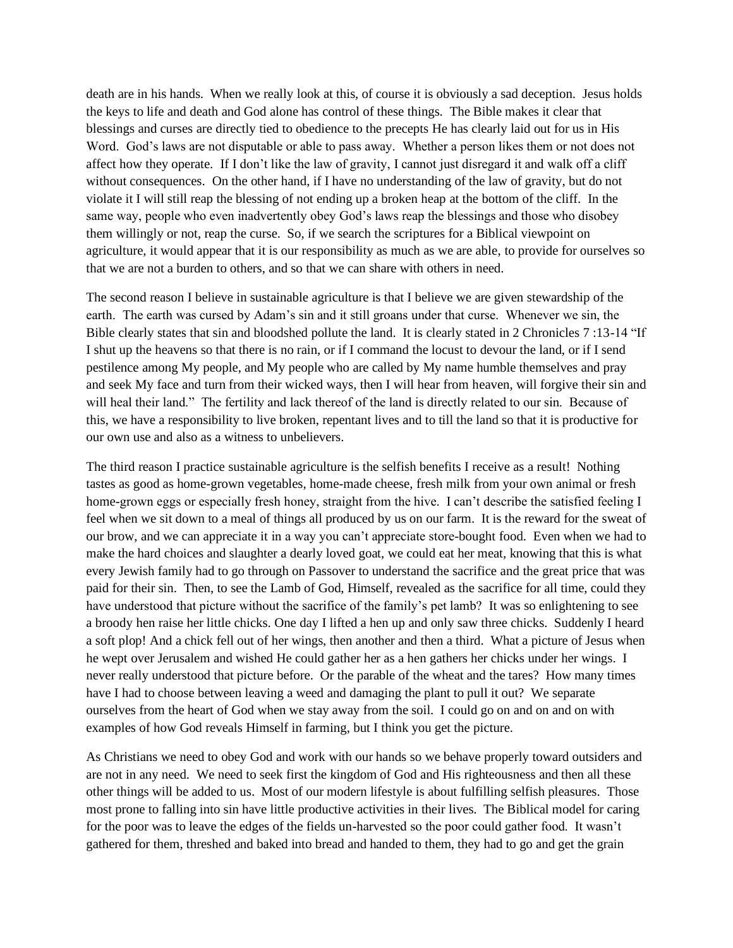death are in his hands. When we really look at this, of course it is obviously a sad deception. Jesus holds the keys to life and death and God alone has control of these things. The Bible makes it clear that blessings and curses are directly tied to obedience to the precepts He has clearly laid out for us in His Word. God's laws are not disputable or able to pass away. Whether a person likes them or not does not affect how they operate. If I don't like the law of gravity, I cannot just disregard it and walk off a cliff without consequences. On the other hand, if I have no understanding of the law of gravity, but do not violate it I will still reap the blessing of not ending up a broken heap at the bottom of the cliff. In the same way, people who even inadvertently obey God's laws reap the blessings and those who disobey them willingly or not, reap the curse. So, if we search the scriptures for a Biblical viewpoint on agriculture, it would appear that it is our responsibility as much as we are able, to provide for ourselves so that we are not a burden to others, and so that we can share with others in need.

The second reason I believe in sustainable agriculture is that I believe we are given stewardship of the earth. The earth was cursed by Adam's sin and it still groans under that curse. Whenever we sin, the Bible clearly states that sin and bloodshed pollute the land. It is clearly stated in 2 Chronicles 7 :13-14 "If I shut up the heavens so that there is no rain, or if I command the locust to devour the land, or if I send pestilence among My people, and My people who are called by My name humble themselves and pray and seek My face and turn from their wicked ways, then I will hear from heaven, will forgive their sin and will heal their land." The fertility and lack thereof of the land is directly related to our sin. Because of this, we have a responsibility to live broken, repentant lives and to till the land so that it is productive for our own use and also as a witness to unbelievers.

The third reason I practice sustainable agriculture is the selfish benefits I receive as a result! Nothing tastes as good as home-grown vegetables, home-made cheese, fresh milk from your own animal or fresh home-grown eggs or especially fresh honey, straight from the hive. I can't describe the satisfied feeling I feel when we sit down to a meal of things all produced by us on our farm. It is the reward for the sweat of our brow, and we can appreciate it in a way you can't appreciate store-bought food. Even when we had to make the hard choices and slaughter a dearly loved goat, we could eat her meat, knowing that this is what every Jewish family had to go through on Passover to understand the sacrifice and the great price that was paid for their sin. Then, to see the Lamb of God, Himself, revealed as the sacrifice for all time, could they have understood that picture without the sacrifice of the family's pet lamb? It was so enlightening to see a broody hen raise her little chicks. One day I lifted a hen up and only saw three chicks. Suddenly I heard a soft plop! And a chick fell out of her wings, then another and then a third. What a picture of Jesus when he wept over Jerusalem and wished He could gather her as a hen gathers her chicks under her wings. I never really understood that picture before. Or the parable of the wheat and the tares? How many times have I had to choose between leaving a weed and damaging the plant to pull it out? We separate ourselves from the heart of God when we stay away from the soil. I could go on and on and on with examples of how God reveals Himself in farming, but I think you get the picture.

As Christians we need to obey God and work with our hands so we behave properly toward outsiders and are not in any need. We need to seek first the kingdom of God and His righteousness and then all these other things will be added to us. Most of our modern lifestyle is about fulfilling selfish pleasures. Those most prone to falling into sin have little productive activities in their lives. The Biblical model for caring for the poor was to leave the edges of the fields un-harvested so the poor could gather food. It wasn't gathered for them, threshed and baked into bread and handed to them, they had to go and get the grain